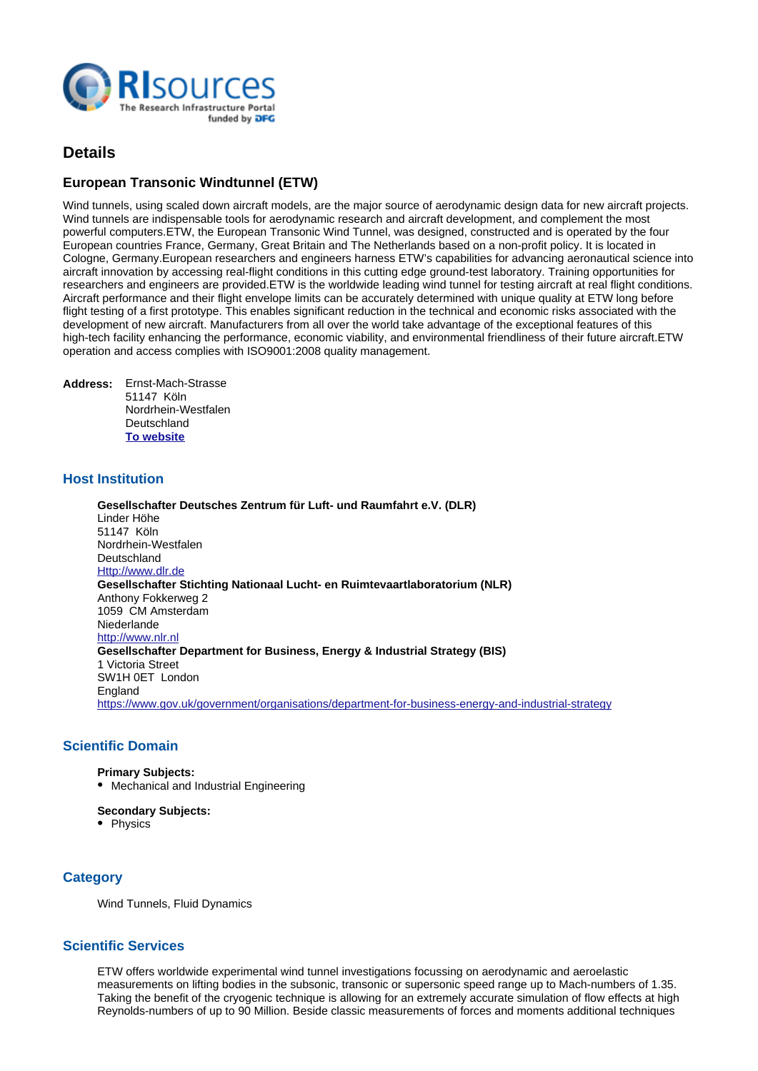

# **Details**

## **European Transonic Windtunnel (ETW)**

Wind tunnels, using scaled down aircraft models, are the major source of aerodynamic design data for new aircraft projects. Wind tunnels are indispensable tools for aerodynamic research and aircraft development, and complement the most powerful computers.

ETW, the European Transonic Wind Tunnel, was designed, constructed and is operated by the four European countries France, Germany, Great Britain and The Netherlands based on a non-profit policy. It is located in Cologne, Germany.

European researchers and engineers harness ETW's capabilities for advancing aeronautical science into aircraft innovation by accessing real-flight conditions in this cutting edge ground-test laboratory. Training opportunities for researchers and engineers are provided.

ETW is the worldwide leading wind tunnel for testing aircraft at real flight conditions. Aircraft performance and their flight envelope limits can be accurately determined with unique quality at ETW long before flight testing of a first prototype. This enables significant reduction in the technical and economic risks associated with the development of new aircraft. Manufacturers from all over the world take advantage of the exceptional features of this high-tech facility enhancing the performance, economic viability, and environmental friendliness of their future aircraft.

ETW operation and access complies with ISO9001:2008 quality management.

| <b>Address:</b> | Ernst-Mach-Strasse<br>51147 Köln |
|-----------------|----------------------------------|
|                 | Nordrhein-Westfalen              |
|                 | Deutschland                      |
|                 | <b>To website</b>                |

### **Host Institution**

**Gesellschafter Deutsches Zentrum für Luft- und Raumfahrt e.V. (DLR)** Linder Höhe 51147 Köln Nordrhein-Westfalen **Deutschland** <Http://www.dlr.de> **Gesellschafter Stichting Nationaal Lucht- en Ruimtevaartlaboratorium (NLR)** Anthony Fokkerweg 2 1059 CM Amsterdam Niederlande <http://www.nlr.nl> **Gesellschafter Department for Business, Energy & Industrial Strategy (BIS)** 1 Victoria Street SW1H 0ET London England <https://www.gov.uk/government/organisations/department-for-business-energy-and-industrial-strategy>

### **Scientific Domain**

**Primary Subjects:**

• Mechanical and Industrial Engineering

#### **Secondary Subjects:**

• Physics

## **Category**

Wind Tunnels, Fluid Dynamics

### **Scientific Services**

ETW offers worldwide experimental wind tunnel investigations focussing on aerodynamic and aeroelastic measurements on lifting bodies in the subsonic, transonic or supersonic speed range up to Mach-numbers of 1.35. Taking the benefit of the cryogenic technique is allowing for an extremely accurate simulation of flow effects at high Reynolds-numbers of up to 90 Million. Beside classic measurements of forces and moments additional techniques